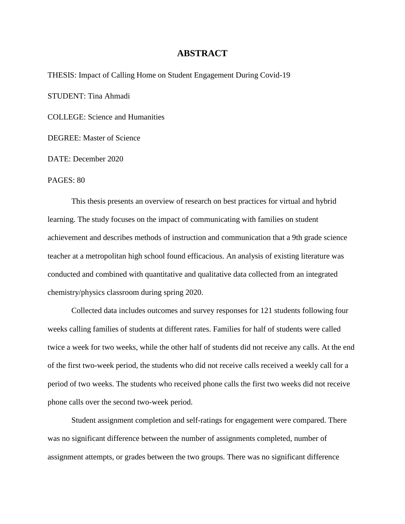## **ABSTRACT**

THESIS: Impact of Calling Home on Student Engagement During Covid-19

STUDENT: Tina Ahmadi

COLLEGE: Science and Humanities

DEGREE: Master of Science

DATE: December 2020

PAGES: 80

This thesis presents an overview of research on best practices for virtual and hybrid learning. The study focuses on the impact of communicating with families on student achievement and describes methods of instruction and communication that a 9th grade science teacher at a metropolitan high school found efficacious. An analysis of existing literature was conducted and combined with quantitative and qualitative data collected from an integrated chemistry/physics classroom during spring 2020.

Collected data includes outcomes and survey responses for 121 students following four weeks calling families of students at different rates. Families for half of students were called twice a week for two weeks, while the other half of students did not receive any calls. At the end of the first two-week period, the students who did not receive calls received a weekly call for a period of two weeks. The students who received phone calls the first two weeks did not receive phone calls over the second two-week period.

Student assignment completion and self-ratings for engagement were compared. There was no significant difference between the number of assignments completed, number of assignment attempts, or grades between the two groups. There was no significant difference